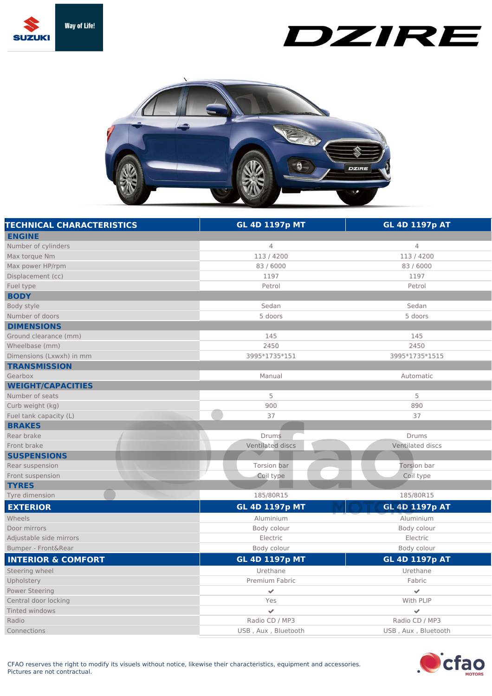

## DZIRE



| <b>TECHNICAL CHARACTERISTICS</b> | <b>GL 4D 1197p MT</b> | <b>GL 4D 1197p AT</b> |
|----------------------------------|-----------------------|-----------------------|
| <b>ENGINE</b>                    |                       |                       |
| Number of cylinders              | 4                     | $\overline{4}$        |
| Max torque Nm                    | 113/4200              | 113/4200              |
| Max power HP/rpm                 | 83 / 6000             | 83 / 6000             |
| Displacement (cc)                | 1197                  | 1197                  |
| Fuel type                        | Petrol                | Petrol                |
| <b>BODY</b>                      |                       |                       |
| Body style                       | Sedan                 | Sedan                 |
| Number of doors                  | 5 doors               | 5 doors               |
| <b>DIMENSIONS</b>                |                       |                       |
| Ground clearance (mm)            | 145                   | 145                   |
| Wheelbase (mm)                   | 2450                  | 2450                  |
| Dimensions (Lxwxh) in mm         | 3995*1735*151         | 3995*1735*1515        |
| <b>TRANSMISSION</b>              |                       |                       |
| Gearbox                          | Manual                | Automatic             |
| <b>WEIGHT/CAPACITIES</b>         |                       |                       |
| Number of seats                  | 5                     | 5                     |
| Curb weight (kg)                 | 900                   | 890                   |
| Fuel tank capacity (L)           | 37                    | 37                    |
| <b>BRAKES</b>                    |                       |                       |
| Rear brake                       | <b>Drums</b>          | Drums                 |
| Front brake                      | Ventilated discs      | Ventilated discs      |
| <b>SUSPENSIONS</b>               |                       |                       |
| Rear suspension                  | Torsion bar           | Torsion bar           |
| Front suspension                 | Coil type             | Coil type             |
| <b>TYRES</b>                     |                       |                       |
| Tyre dimension                   | 185/80R15             | 185/80R15             |
| <b>EXTERIOR</b>                  | <b>GL 4D 1197p MT</b> | <b>GL 4D 1197p AT</b> |
| Wheels                           | Aluminium             | Aluminium             |
| Door mirrors                     | Body colour           | Body colour           |
| Adjustable side mirrors          | Electric              | Electric              |
| Bumper - Front&Rear              | Body colour           | Body colour           |
| <b>INTERIOR &amp; COMFORT</b>    | <b>GL 4D 1197p MT</b> | <b>GL 4D 1197p AT</b> |
| Steering wheel                   | Urethane              | Urethane              |
| Upholstery                       | Premium Fabric        | Fabric                |
| <b>Power Steering</b>            | $\mathcal{L}$         | $\mathcal{L}$         |
| Central door locking             | Yes                   | With PLIP             |
| Tinted windows                   | $\checkmark$          | $\checkmark$          |
| Radio                            | Radio CD / MP3        | Radio CD / MP3        |
| Connections                      | USB, Aux, Bluetooth   | USB, Aux, Bluetooth   |